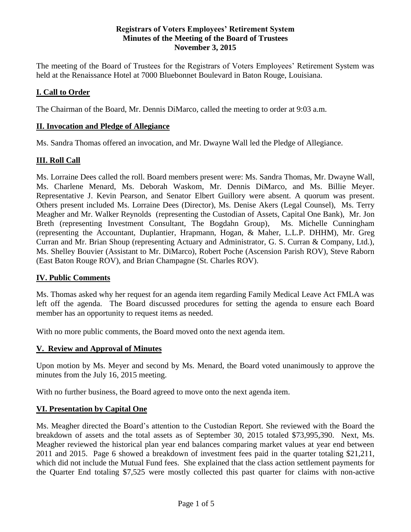#### **Registrars of Voters Employees' Retirement System Minutes of the Meeting of the Board of Trustees November 3, 2015**

The meeting of the Board of Trustees for the Registrars of Voters Employees' Retirement System was held at the Renaissance Hotel at 7000 Bluebonnet Boulevard in Baton Rouge, Louisiana.

## **I. Call to Order**

The Chairman of the Board, Mr. Dennis DiMarco, called the meeting to order at 9:03 a.m.

#### **II. Invocation and Pledge of Allegiance**

Ms. Sandra Thomas offered an invocation, and Mr. Dwayne Wall led the Pledge of Allegiance.

#### **III. Roll Call**

Ms. Lorraine Dees called the roll. Board members present were: Ms. Sandra Thomas, Mr. Dwayne Wall, Ms. Charlene Menard, Ms. Deborah Waskom, Mr. Dennis DiMarco, and Ms. Billie Meyer. Representative J. Kevin Pearson, and Senator Elbert Guillory were absent. A quorum was present. Others present included Ms. Lorraine Dees (Director), Ms. Denise Akers (Legal Counsel), Ms. Terry Meagher and Mr. Walker Reynolds (representing the Custodian of Assets, Capital One Bank), Mr. Jon Breth (representing Investment Consultant, The Bogdahn Group), Ms. Michelle Cunningham (representing the Accountant, Duplantier, Hrapmann, Hogan, & Maher, L.L.P. DHHM), Mr. Greg Curran and Mr. Brian Shoup (representing Actuary and Administrator, G. S. Curran & Company, Ltd.), Ms. Shelley Bouvier (Assistant to Mr. DiMarco), Robert Poche (Ascension Parish ROV), Steve Raborn (East Baton Rouge ROV), and Brian Champagne (St. Charles ROV).

#### **IV. Public Comments**

Ms. Thomas asked why her request for an agenda item regarding Family Medical Leave Act FMLA was left off the agenda. The Board discussed procedures for setting the agenda to ensure each Board member has an opportunity to request items as needed.

With no more public comments, the Board moved onto the next agenda item.

#### **V. Review and Approval of Minutes**

Upon motion by Ms. Meyer and second by Ms. Menard, the Board voted unanimously to approve the minutes from the July 16, 2015 meeting.

With no further business, the Board agreed to move onto the next agenda item.

#### **VI. Presentation by Capital One**

Ms. Meagher directed the Board's attention to the Custodian Report. She reviewed with the Board the breakdown of assets and the total assets as of September 30, 2015 totaled \$73,995,390. Next, Ms. Meagher reviewed the historical plan year end balances comparing market values at year end between 2011 and 2015. Page 6 showed a breakdown of investment fees paid in the quarter totaling \$21,211, which did not include the Mutual Fund fees. She explained that the class action settlement payments for the Quarter End totaling \$7,525 were mostly collected this past quarter for claims with non-active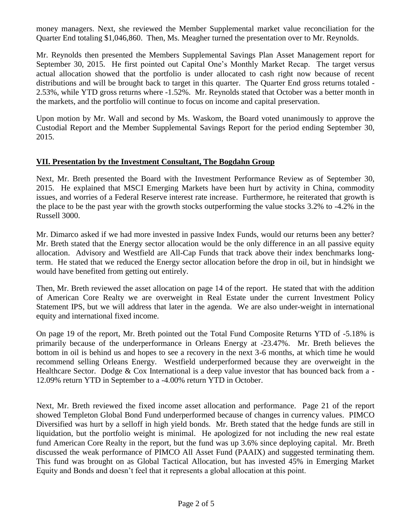money managers. Next, she reviewed the Member Supplemental market value reconciliation for the Quarter End totaling \$1,046,860. Then, Ms. Meagher turned the presentation over to Mr. Reynolds.

Mr. Reynolds then presented the Members Supplemental Savings Plan Asset Management report for September 30, 2015. He first pointed out Capital One's Monthly Market Recap. The target versus actual allocation showed that the portfolio is under allocated to cash right now because of recent distributions and will be brought back to target in this quarter. The Quarter End gross returns totaled - 2.53%, while YTD gross returns where -1.52%. Mr. Reynolds stated that October was a better month in the markets, and the portfolio will continue to focus on income and capital preservation.

Upon motion by Mr. Wall and second by Ms. Waskom, the Board voted unanimously to approve the Custodial Report and the Member Supplemental Savings Report for the period ending September 30, 2015.

#### **VII. Presentation by the Investment Consultant, The Bogdahn Group**

Next, Mr. Breth presented the Board with the Investment Performance Review as of September 30, 2015. He explained that MSCI Emerging Markets have been hurt by activity in China, commodity issues, and worries of a Federal Reserve interest rate increase. Furthermore, he reiterated that growth is the place to be the past year with the growth stocks outperforming the value stocks 3.2% to -4.2% in the Russell 3000.

Mr. Dimarco asked if we had more invested in passive Index Funds, would our returns been any better? Mr. Breth stated that the Energy sector allocation would be the only difference in an all passive equity allocation. Advisory and Westfield are All-Cap Funds that track above their index benchmarks longterm. He stated that we reduced the Energy sector allocation before the drop in oil, but in hindsight we would have benefited from getting out entirely.

Then, Mr. Breth reviewed the asset allocation on page 14 of the report. He stated that with the addition of American Core Realty we are overweight in Real Estate under the current Investment Policy Statement IPS, but we will address that later in the agenda. We are also under-weight in international equity and international fixed income.

On page 19 of the report, Mr. Breth pointed out the Total Fund Composite Returns YTD of -5.18% is primarily because of the underperformance in Orleans Energy at -23.47%. Mr. Breth believes the bottom in oil is behind us and hopes to see a recovery in the next 3-6 months, at which time he would recommend selling Orleans Energy. Westfield underperformed because they are overweight in the Healthcare Sector. Dodge & Cox International is a deep value investor that has bounced back from a - 12.09% return YTD in September to a -4.00% return YTD in October.

Next, Mr. Breth reviewed the fixed income asset allocation and performance. Page 21 of the report showed Templeton Global Bond Fund underperformed because of changes in currency values. PIMCO Diversified was hurt by a selloff in high yield bonds. Mr. Breth stated that the hedge funds are still in liquidation, but the portfolio weight is minimal. He apologized for not including the new real estate fund American Core Realty in the report, but the fund was up 3.6% since deploying capital. Mr. Breth discussed the weak performance of PIMCO All Asset Fund (PAAIX) and suggested terminating them. This fund was brought on as Global Tactical Allocation, but has invested 45% in Emerging Market Equity and Bonds and doesn't feel that it represents a global allocation at this point.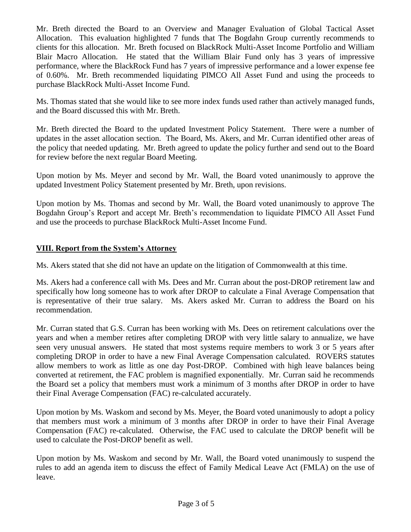Mr. Breth directed the Board to an Overview and Manager Evaluation of Global Tactical Asset Allocation. This evaluation highlighted 7 funds that The Bogdahn Group currently recommends to clients for this allocation. Mr. Breth focused on BlackRock Multi-Asset Income Portfolio and William Blair Macro Allocation. He stated that the William Blair Fund only has 3 years of impressive performance, where the BlackRock Fund has 7 years of impressive performance and a lower expense fee of 0.60%. Mr. Breth recommended liquidating PIMCO All Asset Fund and using the proceeds to purchase BlackRock Multi-Asset Income Fund.

Ms. Thomas stated that she would like to see more index funds used rather than actively managed funds, and the Board discussed this with Mr. Breth.

Mr. Breth directed the Board to the updated Investment Policy Statement. There were a number of updates in the asset allocation section. The Board, Ms. Akers, and Mr. Curran identified other areas of the policy that needed updating. Mr. Breth agreed to update the policy further and send out to the Board for review before the next regular Board Meeting.

Upon motion by Ms. Meyer and second by Mr. Wall, the Board voted unanimously to approve the updated Investment Policy Statement presented by Mr. Breth, upon revisions.

Upon motion by Ms. Thomas and second by Mr. Wall, the Board voted unanimously to approve The Bogdahn Group's Report and accept Mr. Breth's recommendation to liquidate PIMCO All Asset Fund and use the proceeds to purchase BlackRock Multi-Asset Income Fund.

## **VIII. Report from the System's Attorney**

Ms. Akers stated that she did not have an update on the litigation of Commonwealth at this time.

Ms. Akers had a conference call with Ms. Dees and Mr. Curran about the post-DROP retirement law and specifically how long someone has to work after DROP to calculate a Final Average Compensation that is representative of their true salary. Ms. Akers asked Mr. Curran to address the Board on his recommendation.

Mr. Curran stated that G.S. Curran has been working with Ms. Dees on retirement calculations over the years and when a member retires after completing DROP with very little salary to annualize, we have seen very unusual answers. He stated that most systems require members to work 3 or 5 years after completing DROP in order to have a new Final Average Compensation calculated. ROVERS statutes allow members to work as little as one day Post-DROP. Combined with high leave balances being converted at retirement, the FAC problem is magnified exponentially. Mr. Curran said he recommends the Board set a policy that members must work a minimum of 3 months after DROP in order to have their Final Average Compensation (FAC) re-calculated accurately.

Upon motion by Ms. Waskom and second by Ms. Meyer, the Board voted unanimously to adopt a policy that members must work a minimum of 3 months after DROP in order to have their Final Average Compensation (FAC) re-calculated. Otherwise, the FAC used to calculate the DROP benefit will be used to calculate the Post-DROP benefit as well.

Upon motion by Ms. Waskom and second by Mr. Wall, the Board voted unanimously to suspend the rules to add an agenda item to discuss the effect of Family Medical Leave Act (FMLA) on the use of leave.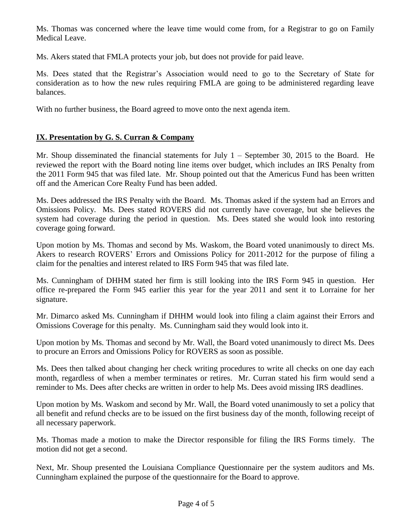Ms. Thomas was concerned where the leave time would come from, for a Registrar to go on Family Medical Leave.

Ms. Akers stated that FMLA protects your job, but does not provide for paid leave.

Ms. Dees stated that the Registrar's Association would need to go to the Secretary of State for consideration as to how the new rules requiring FMLA are going to be administered regarding leave balances.

With no further business, the Board agreed to move onto the next agenda item.

# **IX. Presentation by G. S. Curran & Company**

Mr. Shoup disseminated the financial statements for July 1 – September 30, 2015 to the Board. He reviewed the report with the Board noting line items over budget, which includes an IRS Penalty from the 2011 Form 945 that was filed late. Mr. Shoup pointed out that the Americus Fund has been written off and the American Core Realty Fund has been added.

Ms. Dees addressed the IRS Penalty with the Board. Ms. Thomas asked if the system had an Errors and Omissions Policy. Ms. Dees stated ROVERS did not currently have coverage, but she believes the system had coverage during the period in question. Ms. Dees stated she would look into restoring coverage going forward.

Upon motion by Ms. Thomas and second by Ms. Waskom, the Board voted unanimously to direct Ms. Akers to research ROVERS' Errors and Omissions Policy for 2011-2012 for the purpose of filing a claim for the penalties and interest related to IRS Form 945 that was filed late.

Ms. Cunningham of DHHM stated her firm is still looking into the IRS Form 945 in question. Her office re-prepared the Form 945 earlier this year for the year 2011 and sent it to Lorraine for her signature.

Mr. Dimarco asked Ms. Cunningham if DHHM would look into filing a claim against their Errors and Omissions Coverage for this penalty. Ms. Cunningham said they would look into it.

Upon motion by Ms. Thomas and second by Mr. Wall, the Board voted unanimously to direct Ms. Dees to procure an Errors and Omissions Policy for ROVERS as soon as possible.

Ms. Dees then talked about changing her check writing procedures to write all checks on one day each month, regardless of when a member terminates or retires. Mr. Curran stated his firm would send a reminder to Ms. Dees after checks are written in order to help Ms. Dees avoid missing IRS deadlines.

Upon motion by Ms. Waskom and second by Mr. Wall, the Board voted unanimously to set a policy that all benefit and refund checks are to be issued on the first business day of the month, following receipt of all necessary paperwork.

Ms. Thomas made a motion to make the Director responsible for filing the IRS Forms timely. The motion did not get a second.

Next, Mr. Shoup presented the Louisiana Compliance Questionnaire per the system auditors and Ms. Cunningham explained the purpose of the questionnaire for the Board to approve.